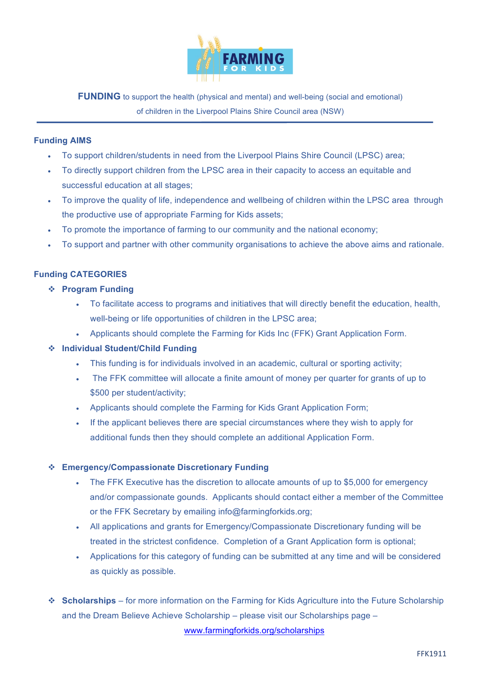

**FUNDING** to support the health (physical and mental) and well-being (social and emotional) of children in the Liverpool Plains Shire Council area (NSW)

### **Funding AIMS**

- To support children/students in need from the Liverpool Plains Shire Council (LPSC) area;
- To directly support children from the LPSC area in their capacity to access an equitable and successful education at all stages;
- To improve the quality of life, independence and wellbeing of children within the LPSC area through the productive use of appropriate Farming for Kids assets;
- To promote the importance of farming to our community and the national economy;
- To support and partner with other community organisations to achieve the above aims and rationale.

### **Funding CATEGORIES**

- v **Program Funding**
	- To facilitate access to programs and initiatives that will directly benefit the education, health, well-being or life opportunities of children in the LPSC area;
	- Applicants should complete the Farming for Kids Inc (FFK) Grant Application Form.
- v **Individual Student/Child Funding**
	- This funding is for individuals involved in an academic, cultural or sporting activity;
	- The FFK committee will allocate a finite amount of money per quarter for grants of up to \$500 per student/activity;
	- Applicants should complete the Farming for Kids Grant Application Form;
	- If the applicant believes there are special circumstances where they wish to apply for additional funds then they should complete an additional Application Form.

#### v **Emergency/Compassionate Discretionary Funding**

- The FFK Executive has the discretion to allocate amounts of up to \$5,000 for emergency and/or compassionate gounds. Applicants should contact either a member of the Committee or the FFK Secretary by emailing info@farmingforkids.org;
- All applications and grants for Emergency/Compassionate Discretionary funding will be treated in the strictest confidence. Completion of a Grant Application form is optional;
- Applications for this category of funding can be submitted at any time and will be considered as quickly as possible.
- v **Scholarships**  for more information on the Farming for Kids Agriculture into the Future Scholarship and the Dream Believe Achieve Scholarship – please visit our Scholarships page – www.farmingforkids.org/scholarships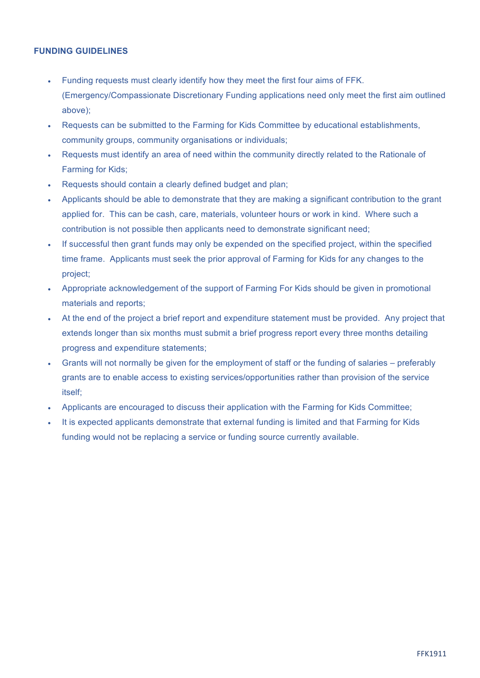#### **FUNDING GUIDELINES**

- Funding requests must clearly identify how they meet the first four aims of FFK. (Emergency/Compassionate Discretionary Funding applications need only meet the first aim outlined above);
- Requests can be submitted to the Farming for Kids Committee by educational establishments, community groups, community organisations or individuals;
- Requests must identify an area of need within the community directly related to the Rationale of Farming for Kids;
- Requests should contain a clearly defined budget and plan;
- Applicants should be able to demonstrate that they are making a significant contribution to the grant applied for. This can be cash, care, materials, volunteer hours or work in kind. Where such a contribution is not possible then applicants need to demonstrate significant need;
- If successful then grant funds may only be expended on the specified project, within the specified time frame. Applicants must seek the prior approval of Farming for Kids for any changes to the project;
- Appropriate acknowledgement of the support of Farming For Kids should be given in promotional materials and reports;
- At the end of the project a brief report and expenditure statement must be provided. Any project that extends longer than six months must submit a brief progress report every three months detailing progress and expenditure statements;
- Grants will not normally be given for the employment of staff or the funding of salaries preferably grants are to enable access to existing services/opportunities rather than provision of the service itself;
- Applicants are encouraged to discuss their application with the Farming for Kids Committee;
- It is expected applicants demonstrate that external funding is limited and that Farming for Kids funding would not be replacing a service or funding source currently available.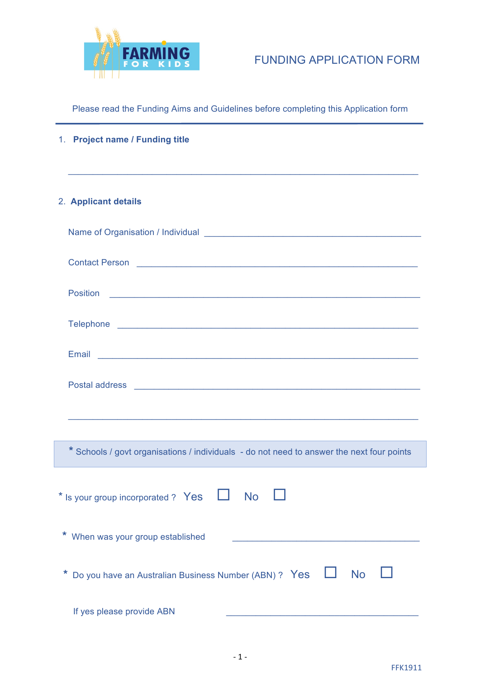

# FUNDING APPLICATION FORM

Please read the Funding Aims and Guidelines before completing this Application form

|                                                                    | 1. Project name / Funding title<br><u> 1989 - Johann John Stone, market ar yn it ferfinning yn it ferfinning yn it ferfinning yn it ferfinning yn it</u>                                                                             |  |  |
|--------------------------------------------------------------------|--------------------------------------------------------------------------------------------------------------------------------------------------------------------------------------------------------------------------------------|--|--|
|                                                                    | 2. Applicant details                                                                                                                                                                                                                 |  |  |
|                                                                    |                                                                                                                                                                                                                                      |  |  |
|                                                                    |                                                                                                                                                                                                                                      |  |  |
|                                                                    |                                                                                                                                                                                                                                      |  |  |
|                                                                    |                                                                                                                                                                                                                                      |  |  |
|                                                                    |                                                                                                                                                                                                                                      |  |  |
|                                                                    | Postal address <b>Contract Contract Contract Contract Contract Contract Contract Contract Contract Contract Contract Contract Contract Contract Contract Contract Contract Contract Contract Contract Contract Contract Contract</b> |  |  |
|                                                                    | <u> 1989 - Johann Harry Harry Harry Harry Harry Harry Harry Harry Harry Harry Harry Harry Harry Harry Harry Harry</u>                                                                                                                |  |  |
|                                                                    | * Schools / govt organisations / individuals - do not need to answer the next four points                                                                                                                                            |  |  |
| * Is your group incorporated ? Yes<br><b>No</b>                    |                                                                                                                                                                                                                                      |  |  |
|                                                                    | * When was your group established                                                                                                                                                                                                    |  |  |
| Do you have an Australian Business Number (ABN) ? Yes<br><b>No</b> |                                                                                                                                                                                                                                      |  |  |

If yes please provide ABN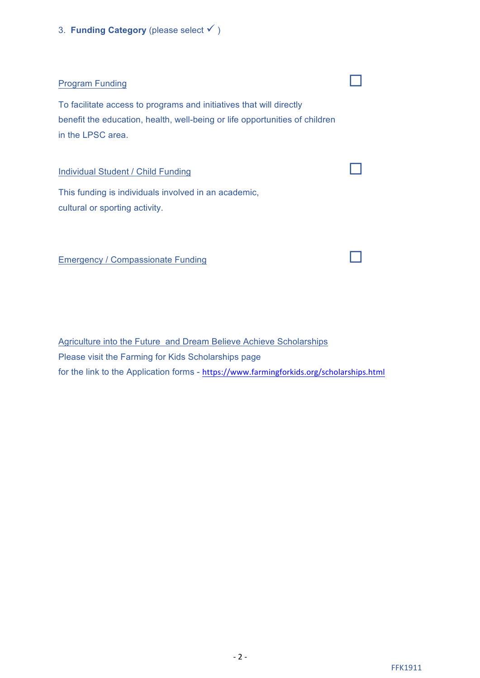3. **Funding Category** (please select  $\checkmark$ )

## Program Funding ¨

To facilitate access to programs and initiatives that will directly benefit the education, health, well-being or life opportunities of children in the LPSC area.

Individual Student / Child Funding

This funding is individuals involved in an academic, cultural or sporting activity.

Emergency / Compassionate Funding

Agriculture into the Future and Dream Believe Achieve Scholarships Please visit the Farming for Kids Scholarships page for the link to the Application forms - https://www.farmingforkids.org/scholarships.html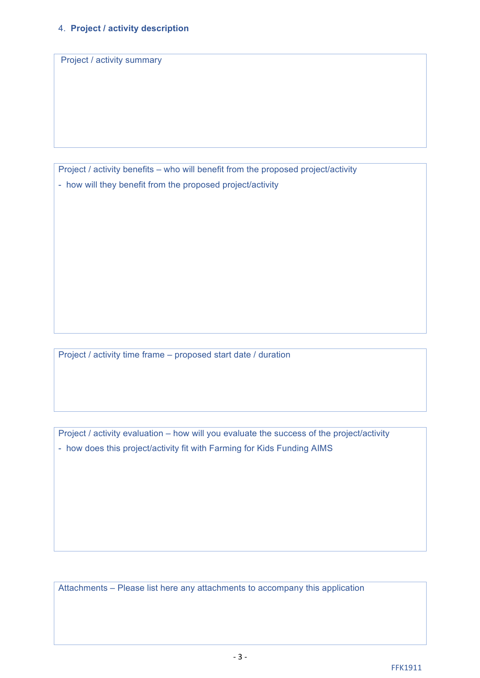Project / activity summary

Project / activity benefits – who will benefit from the proposed project/activity - how will they benefit from the proposed project/activity

Project / activity time frame – proposed start date / duration

Project / activity evaluation – how will you evaluate the success of the project/activity - how does this project/activity fit with Farming for Kids Funding AIMS

Attachments – Please list here any attachments to accompany this application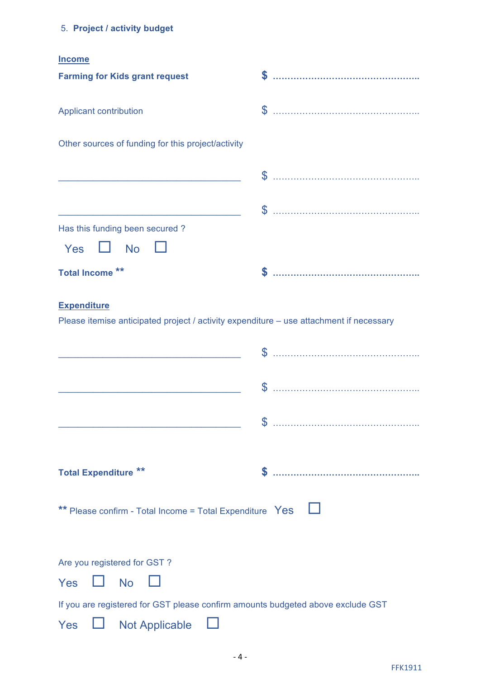# 5. **Project / activity budget**

| .,<br>. . |
|-----------|
|-----------|

| <b>Farming for Kids grant request</b>                                                                                    |               |
|--------------------------------------------------------------------------------------------------------------------------|---------------|
| Applicant contribution                                                                                                   |               |
| Other sources of funding for this project/activity                                                                       |               |
| <u> 1989 - Johann John Stone, market fan it fjort fan it fjort fan it fjort fan it fjort fan it fjort fan it fjort f</u> |               |
| <u> 1989 - Johann Barn, mars eta bainar eta baina eta baina eta baina eta baina eta baina eta baina eta baina e</u>      |               |
| Has this funding been secured?<br><b>No</b><br>Yes                                                                       |               |
| <b>Total Income **</b>                                                                                                   |               |
| <b>Expenditure</b><br>Please itemise anticipated project / activity expenditure - use attachment if necessary            |               |
| <u> 1989 - Johann Barn, fransk politik (d. 1989)</u>                                                                     |               |
| <u> 1989 - Johann Barn, mars ann an t-Amhain an t-Amhain an t-Amhain an t-Amhain an t-Amhain an t-Amhain an t-A</u>      |               |
|                                                                                                                          | $\mathcal{L}$ |
| <b>Total Expenditure **</b>                                                                                              | \$            |
| ** Please confirm - Total Income = Total Expenditure Yes                                                                 |               |
| Are you registered for GST?                                                                                              |               |
| Yes<br><b>No</b>                                                                                                         |               |
| If you are registered for GST please confirm amounts budgeted above exclude GST                                          |               |
| <b>Not Applicable</b><br>Yes                                                                                             |               |